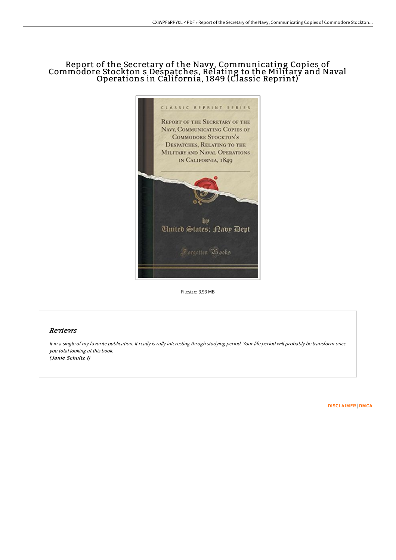# Report of the Secretary of the Navy, Communicating Copies of Commodore Stockton s Despatches, Relating to the Military and Naval Operations in California, 1849 (Classic Reprint)



Filesize: 3.93 MB

## Reviews

It in <sup>a</sup> single of my favorite publication. It really is rally interesting throgh studying period. Your life period will probably be transform once you total looking at this book. (Janie Schultz I)

[DISCLAIMER](http://techno-pub.tech/disclaimer.html) | [DMCA](http://techno-pub.tech/dmca.html)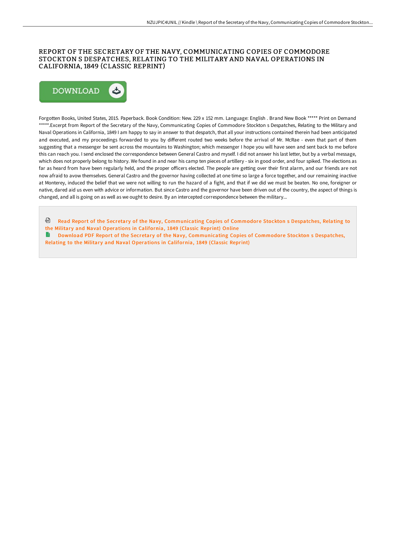### REPORT OF THE SECRETARY OF THE NAVY, COMMUNICATING COPIES OF COMMODORE STOCKTON S DESPATCHES, RELATING TO THE MILITARY AND NAVAL OPERATIONS IN CALIFORNIA, 1849 (CLASSIC REPRINT)



Forgotten Books, United States, 2015. Paperback. Book Condition: New. 229 x 152 mm. Language: English . Brand New Book \*\*\*\*\* Print on Demand \*\*\*\*\*.Excerpt from Report of the Secretary of the Navy, Communicating Copies of Commodore Stockton s Despatches, Relating to the Military and Naval Operations in California, 1849 I am happy to say in answer to that despatch, that all your instructions contained therein had been anticipated and executed, and my proceedings forwarded to you by different routed two weeks before the arrival of Mr. McRae - even that part of them suggesting that a messenger be sent across the mountains to Washington; which messenger I hope you will have seen and sent back to me before this can reach you. I send enclosed the correspondence between General Castro and myself. I did not answer his last letter, but by a verbal message, which does not properly belong to history. We found in and near his camp ten pieces of artillery - six in good order, and four spiked. The elections as far as heard from have been regularly held, and the proper officers elected. The people are getting over their first alarm, and our friends are not now afraid to avow themselves. General Castro and the governor having collected at one time so large a force together, and our remaining inactive at Monterey, induced the belief that we were not willing to run the hazard of a fight, and that if we did we must be beaten. No one, foreigner or native, dared aid us even with advice or information. But since Castro and the governor have been driven out of the country, the aspect of things is changed, and all is going on as well as we ought to desire. By an intercepted correspondence between the military...

- Read Report of the Secretar y of the Navy, [Communicating](http://techno-pub.tech/report-of-the-secretary-of-the-navy-communicatin.html) Copies of Commodore Stockton s Despatches, Relating to the Military and Naval Operations in California, 1849 (Classic Reprint) Online
- Download PDF Report of the Secretary of the Navy, [Communicating](http://techno-pub.tech/report-of-the-secretary-of-the-navy-communicatin.html) Copies of Commodore Stockton s Despatches, Relating to the Military and Naval Operations in California, 1849 (Classic Reprint)